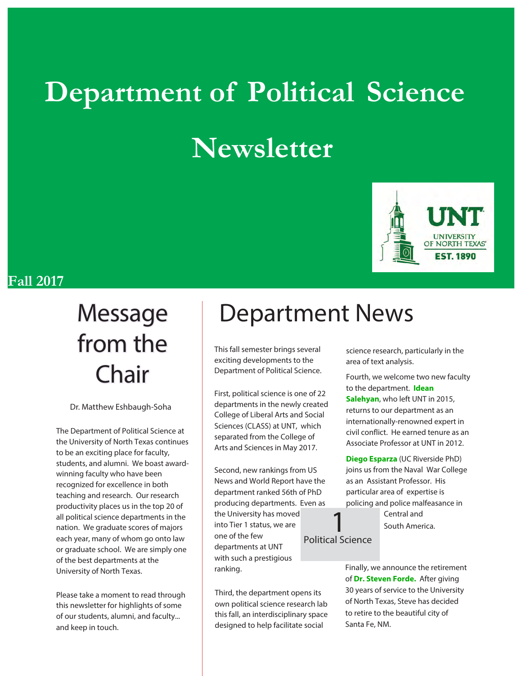# **Department of Political Science Newsletter**



#### **Fall 2017**

# from the Chair

Dr. Matthew Eshbaugh-Soha

The Department of Political Science at the University of North Texas continues to be an exciting place for faculty, students, and alumni. We boast awardwinning faculty who have been recognized for excellence in both teaching and research. Our research productivity places us in the top 20 of all political science departments in the nation. We graduate scores of majors each year, many of whom go onto law or graduate school. We are simply one of the best departments at the University of North Texas.

Please take a moment to read through this newsletter for highlights of some of our students, alumni, and faculty... and keep in touch.

## Message | Department News

This fall semester brings several exciting developments to the Department of Political Science.

First, political science is one of 22 departments in the newly created College of Liberal Arts and Social Sciences (CLASS) at UNT, which separated from the College of Arts and Sciences in May 2017.

Second, new rankings from US News and World Report have the department ranked 56th of PhD producing departments. Even as the University has moved into Tier 1 status, we are one of the few departments at UNT with such a prestigious ranking.

Third, the department opens its own political science research lab this fall, an interdisciplinary space designed to help facilitate social

science research, particularly in the area of text analysis.

Fourth, we welcome two new faculty to the department. **Idean Salehyan**, who left UNT in 2015, returns to our department as an internationally-renowned expert in civil conflict. He earned tenure as an Associate Professor at UNT in 2012.

**Diego Esparza** (UC Riverside PhD) joins us from the Naval War College as an Assistant Professor. His particular area of expertise is policing and police malfeasance in

> Central and South America.

Political Science

1

Finally, we announce the retirement of **Dr. Steven Forde.** After giving 30 years of service to the University of North Texas, Steve has decided to retire to the beautiful city of Santa Fe, NM.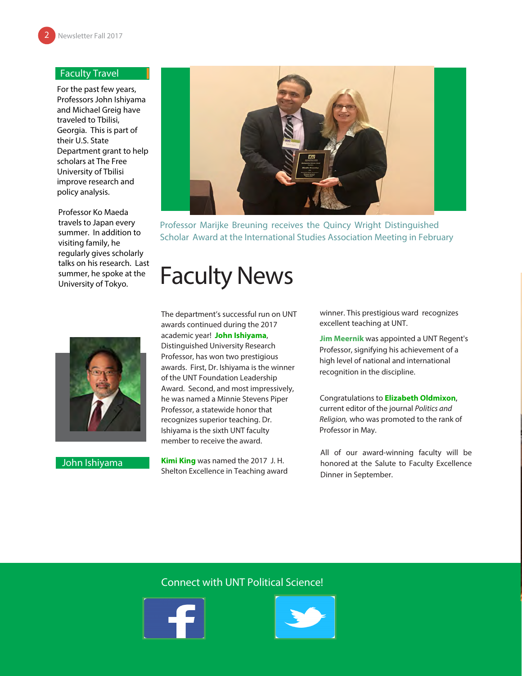#### Faculty Travel

For the past few years, Professors John Ishiyama and Michael Greig have traveled to Tbilisi, Georgia. This is part of their U.S. State Department grant to help scholars at The Free University of Tbilisi improve research and policy analysis.

Professor Ko Maeda travels to Japan every summer. In addition to visiting family, he regularly gives scholarly talks on his research. Last summer, he spoke at the University of Tokyo.



John Ishiyama



Professor Marijke Breuning receives the Quincy Wright Distinguished Scholar Award at the International Studies Association Meeting in February

### Faculty News

The department's successful run on UNT awards continued during the 2017 academic year! **John Ishiyama**, Distinguished University Research Professor, has won two prestigious awards. First, Dr. Ishiyama is the winner of the UNT Foundation Leadership Award. Second, and most impressively, he was named a Minnie Stevens Piper Professor, a statewide honor that recognizes superior teaching. Dr. Ishiyama is the sixth UNT faculty member to receive the award.

**Kimi King** was named the 2017 J. H. Shelton Excellence in Teaching award winner. This prestigious ward recognizes excellent teaching at UNT.

**Jim Meernik** was appointed a UNT Regent's Professor, signifying his achievement of a high level of national and international recognition in the discipline.

Congratulations to **Elizabeth Oldmixon**, current editor of the journal Politics and Religion, who was promoted to the rank of Professor in May.

All of our award-winning faculty will be honored at the Salute to Faculty Excellence Dinner in September.

#### Connect with UNT Political Science!



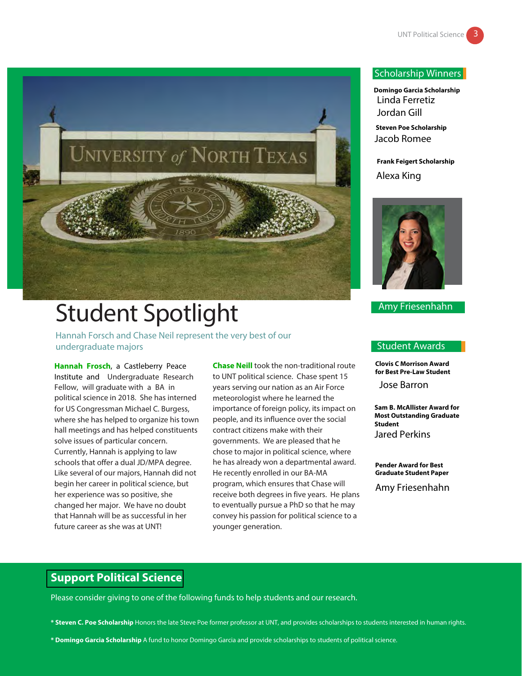

## Student Spotlight

Hannah Forsch and Chase Neil represent the very best of our undergraduate majors

**Hannah Frosch**, a Castleberry Peace Institute and Undergraduate Research Fellow, will graduate with a BA in political science in 2018. She has interned for US Congressman Michael C. Burgess, where she has helped to organize his town hall meetings and has helped constituents solve issues of particular concern. Currently, Hannah is applying to law schools that offer a dual JD/MPA degree. Like several of our majors, Hannah did not begin her career in political science, but her experience was so positive, she changed her major. We have no doubt that Hannah will be as successful in her future career as she was at UNT!

**Chase Neill** took the non-traditional route to UNT political science. Chase spent 15 years serving our nation as an Air Force meteorologist where he learned the importance of foreign policy, its impact on people, and its influence over the social contract citizens make with their governments. We are pleased that he chose to major in political science, where he has already won a departmental award. He recently enrolled in our BA-MA program, which ensures that Chase will receive both degrees in five years. He plans to eventually pursue a PhD so that he may convey his passion for political science to a younger generation.

#### Scholarship Winners

**Domingo Garcia Scholarship** Linda Ferretiz Jordan Gill

**Steven Poe Scholarship** Jacob Romee

**Frank Feigert Scholarship** Alexa King



#### Amy Friesenhahn

#### Student Awards

**Clovis C Morrison Award for Best Pre-Law Student**

Jose Barron

**Sam B. McAllister Award for Most Outstanding Graduate Student** Jared Perkins

**Pender Award for Best Graduate Student Paper**

Amy Friesenhahn

#### **Support Political Science**

Please consider giving to one of the following funds to help students and our research.

**\* Steven C. Poe Scholarship** Honors the late Steve Poe former professor at UNT, and provides scholarships to students interested in human rights.

**\* Domingo Garcia Scholarship** A fund to honor Domingo Garcia and provide scholarships to students of political science.